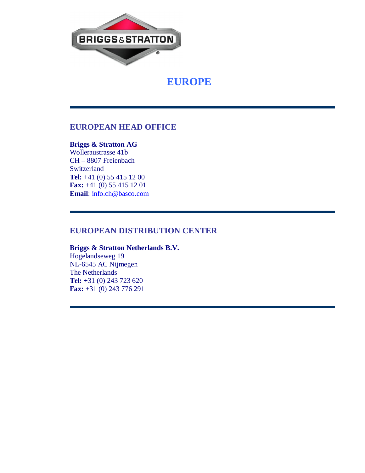

 **EUROPE**

# **EUROPEAN HEAD OFFICE**

# **Briggs & Stratton AG**

Wolleraustrasse 41b CH – 8807 Freienbach Switzerland **Tel:** +41 (0) 55 415 12 00 **Fax:** +41 (0) 55 415 12 01 **Email**: info.ch@basco.com

# **EUROPEAN DISTRIBUTION CENTER**

# **Briggs & Stratton Netherlands B.V.** Hogelandseweg 19 NL-6545 AC Nijmegen

The Netherlands **Tel:** +31 (0) 243 723 620 **Fax:** +31 (0) 243 776 291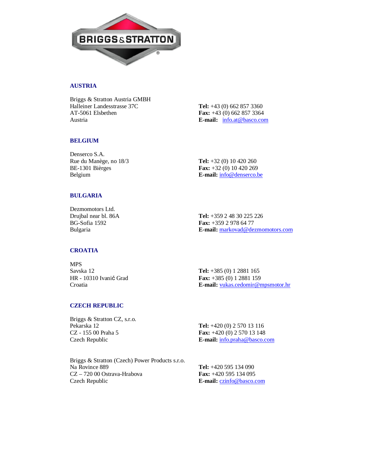

## **AUSTRIA**

Briggs & Stratton Austria GMBH Halleiner Landesstrasse 37C **Tel:** +43 (0) 662 857 3360 AT-5061 Elsbethen **Fax:** +43 (0) 662 857 3364 Austria **E-mail:** info.at@basco.com

#### **BELGIUM**

Denserco S.A. Rue du Manège, no 18/3 **Tel:** +32 (0) 10 420 260

BE-1301 Bièrges **Fax:** +32 (0) 10 420 269 Belgium **E-mail:**  $\frac{info@dense}{info@dense}{info@dense}{info@{}$ 

## **BULGARIA**

Dezmomotors Ltd. Drujbal near bl. 86A **Tel:** +359 2 48 30 225 226

BG-Sofia 1592 **Fax:** +359 2 978 64 77<br>Bulgaria **E-mail:** markovad@de: E-mail: markovad@dezmomotors.com

### **CROATIA**

MPS Savska 12 **Tel:** +385 (0) 1 2881 165

HR - 10310 Ivanić Grad **Fax:** +385 (0) 1 2881 159 Croatia **E-mail:** vukas.cedomir@mpsmotor.hr

### **CZECH REPUBLIC**

Briggs & Stratton CZ, s.r.o. Pekarska 12 **Tel:** +420 (0) 2 570 13 116

CZ - 155 00 Praha 5 **Fax:** +420 (0) 2 570 13 148 Czech Republic **E-mail:** info.praha@basco.com

Briggs & Stratton (Czech) Power Products s.r.o. Na Rovince 889 **Tel:** +420 595 134 090 CZ – 720 00 Ostrava-Hrabova **Fax:** +420 595 134 095 Czech Republic **E-mail:** czinfo@basco.com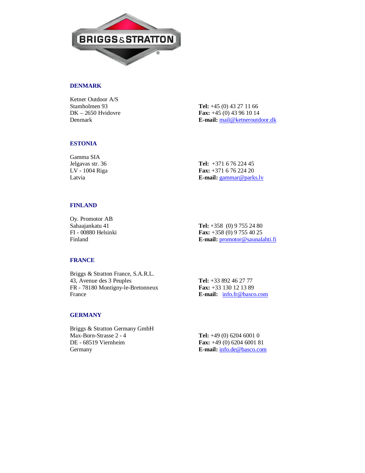

## **DENMARK**

Ketner Outdoor A/S Stamholmen 93 **Tel:** +45 (0) 43 27 11 66

DK – 2650 Hvidovre **Fax:** +45 (0) 43 96 10 14 Denmark **E-mail:** mail@ketneroutdoor.dk

### **ESTONIA**

Gamma SIA

Jelgavas str. 36 **Tel:** +371 6 76 224 45 LV - 1004 Riga **Fax:** +371 6 76 224 20 Latvia **E-mail:** gammar@parks.lv

## **FINLAND**

Oy. Promotor AB

Sahaajankatu 41 **Tel:** +358 (0) 9 755 24 80<br>
FI - 00880 Helsinki **Fax:** +358 (0) 9 755 40 25 Fax: +358 (0) 9 755 40 25 Finland **E-mail:** promotor@saunalahti.fi

#### **FRANCE**

Briggs & Stratton France, S.A.R.L. 43, Avenue des 3 Peuples **Tel:** +33 892 46 27 77 FR - 78180 Montigny-le-Bretonneux **Fax:** +33 130 12 13 89 France **E-mail:** info.fr@basco.com

#### **GERMANY**

Briggs & Stratton Germany GmbH Max-Born-Strasse 2 - 4 **Tel:** +49 (0) 6204 6001 0 DE - 68519 Viernheim **Fax:** +49 (0) 6204 6001 81 Germany **E-mail:** info.de@basco.com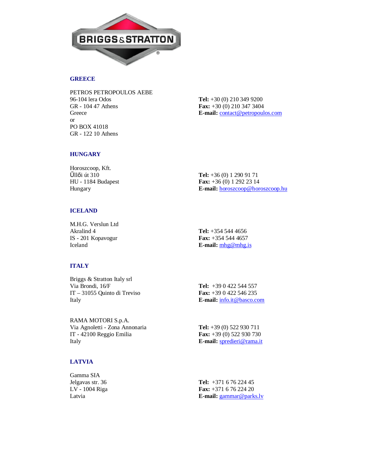

# **GREECE**

PETROS PETROPOULOS AEBE 96-104 lera Odos **Tel:** +30 (0) 210 349 9200 GR - 104 47 Athens **Fax:** +30 (0) 210 347 3404 Greece **E-mail:** <u>contact@petropoulos.com</u> or PO BOX 41018 GR - 122 10 Athens

## **HUNGARY**

Horoszcoop, Kft.

 $\angle$ **illői** út 310 **Tel:** +36 (0) 1 290 91 71 HU - 1184 Budapest **Fax:** +36 (0) 1 292 23 14 Hungary **E-mail:** horoszcoop@horoszcoop.hu

# **ICELAND**

M.H.G. Verslun Ltd Akralind 4 **Tel:** +354 544 4656 IS - 201 Kopavogur **Fax:** +354 544 4657

Iceland **E-mail:** mhg@mhg.is

# **ITALY**

| Briggs & Stratton Italy srl  |                                   |
|------------------------------|-----------------------------------|
| Via Brondi. 16/F             | <b>Tel:</b> $+390422544557$       |
| IT – 31055 Quinto di Treviso | <b>Fax:</b> $+390422546235$       |
| Italy                        | <b>E-mail:</b> info.it @basco.com |
|                              |                                   |

RAMA MOTORI S.p.A. Via Agnoletti - Zona Annonaria **Tel:** +39 (0) 522 930 711 IT - 42100 Reggio Emilia **Fax:** +39 (0) 522 930 730 Italy **E-mail:** spredieri@rama.it

# **LATVIA**

| Gamma SIA        |                                 |
|------------------|---------------------------------|
| Jelgavas str. 36 | Tel: $+371$ 6 76 224 45         |
| LV - 1004 Riga   | <b>Fax:</b> $+371$ 6 76 224 20  |
| Latvia           | <b>E-mail:</b> $gamma@parks.lv$ |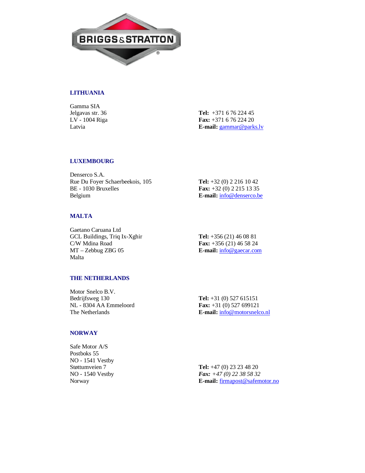

# **LITHUANIA**

Gamma SIA

Jelgavas str. 36 **Tel:** +371 6 76 224 45 LV - 1004 Riga **Fax:** +371 6 76 224 20 Latvia **E-mail:** gammar@parks.lv

### **LUXEMBOURG**

Denserco S.A. Rue Du Foyer Schaerbeekois, 105 **Tel:** +32 (0) 2 216 10 42 BE - 1030 Bruxelles **Fax:** +32 (0) 2 215 13 35 Belgium **E-mail:** info@denserco.be

### **MALTA**

Gaetano Caruana Ltd GCL Buildings, Triq Ix-Xghir **Tel:** +356 (21) 46 08 81 C/W Mdina Road **Fax:** +356 (21) 46 58 24 MT – Zebbug ZBG 05 **E-mail:** info@gaecar.com Malta

### **THE NETHERLANDS**

Motor Snelco B.V. Bedrijfsweg 130 **Tel:** +31 (0) 527 615151 NL - 8304 AA Emmeloord **Fax:** +31 (0) 527 699121

The Netherlands **E-mail:**  $\frac{1}{n}$  **E-mail:**  $\frac{1}{n}$  **E-mail:**  $\frac{1}{n}$  **E-mail:**  $\frac{1}{n}$  **E-mail:**  $\frac{1}{n}$  **E-mail:**  $\frac{1}{n}$  **E-mail:**  $\frac{1}{n}$  **E-mail:**  $\frac{1}{n}$  **E-mail:**  $\frac{1}{n}$  **E-mail:**  $\frac{1}{n}$  **E-mai** 

#### **NORWAY**

Safe Motor A/S Postboks 55 NO - 1541 Vestby

Støttumveien 7 **Tel:** +47 (0) 23 23 48 20 NO - 1540 Vestby *Fax: +47 (0) 22 38 58 32* Norway **E-mail:**  $\frac{1}{2}$  **E-mail:**  $\frac{1}{2}$  **E-mail:**  $\frac{1}{2}$  **E-mail:**  $\frac{1}{2}$  **E-mail:**  $\frac{1}{2}$  **E-mail:**  $\frac{1}{2}$  **E-mail:**  $\frac{1}{2}$  **E-mail:**  $\frac{1}{2}$  **E-mail:**  $\frac{1}{2}$  **E-mail:**  $\frac{1}{2}$  **E-mail:**  $\frac{1$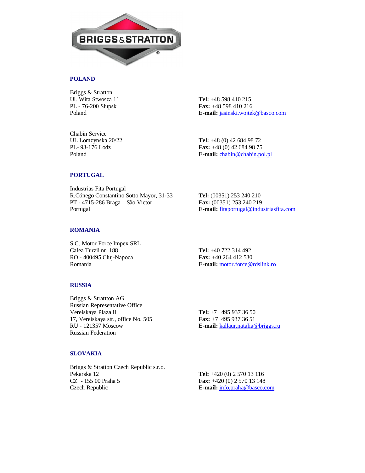

### **POLAND**

Briggs & Stratton Ul. Wita Stwosza 11 **Tel:** +48 598 410 215

PL - 76-200 Slupsk **Fax:** +48 598 410 216 Poland **E-mail:** jasinski.wojtek@basco.com

Chabin Service

UL Lomzynska 20/22 **Tel:** +48 (0) 42 684 98 72 Fax: +48 (0) 42 684 98 75 Poland **E-mail:** chabin@chabin.pol.pl

### **PORTUGAL**

Industrias Fita Portugal R.Cónego Constantino Sotto Mayor, 31-33 **Tel:** (00351) 253 240 210 PT - 4715-286 Braga – São Victor **Fax:** (00351) 253 240 219 Portugal **E-mail:** fitaportugal@industriasfita.com

### **ROMANIA**

S.C. Motor Force Impex SRL Calea Turzii nr. 188 **Tel:** +40 722 314 492 RO - 400495 Cluj-Napoca **Fax:** +40 264 412 530

Romania **E-mail:** motor.force@rdslink.ro

#### **RUSSIA**

Briggs & Strattton AG Russian Representative Office Vereiskaya Plaza II **Tel:** +7 495 937 36 50<br>17. Vereiskaya str., office No. 505 **Fax:** +7 495 937 36 51 17, Vereiskaya str., office No. 505<br>**RU** - 121357 Moscow Russian Federation

E-mail: kallaur.natalia@briggs.ru

### **SLOVAKIA**

Briggs & Stratton Czech Republic s.r.o. Pekarska 12 **Tel:** +420 (0) 2 570 13 116 CZ - 155 00 Praha 5 **Fax:** +420 (0) 2 570 13 148 Czech Republic **E-mail:** info.praha@basco.com